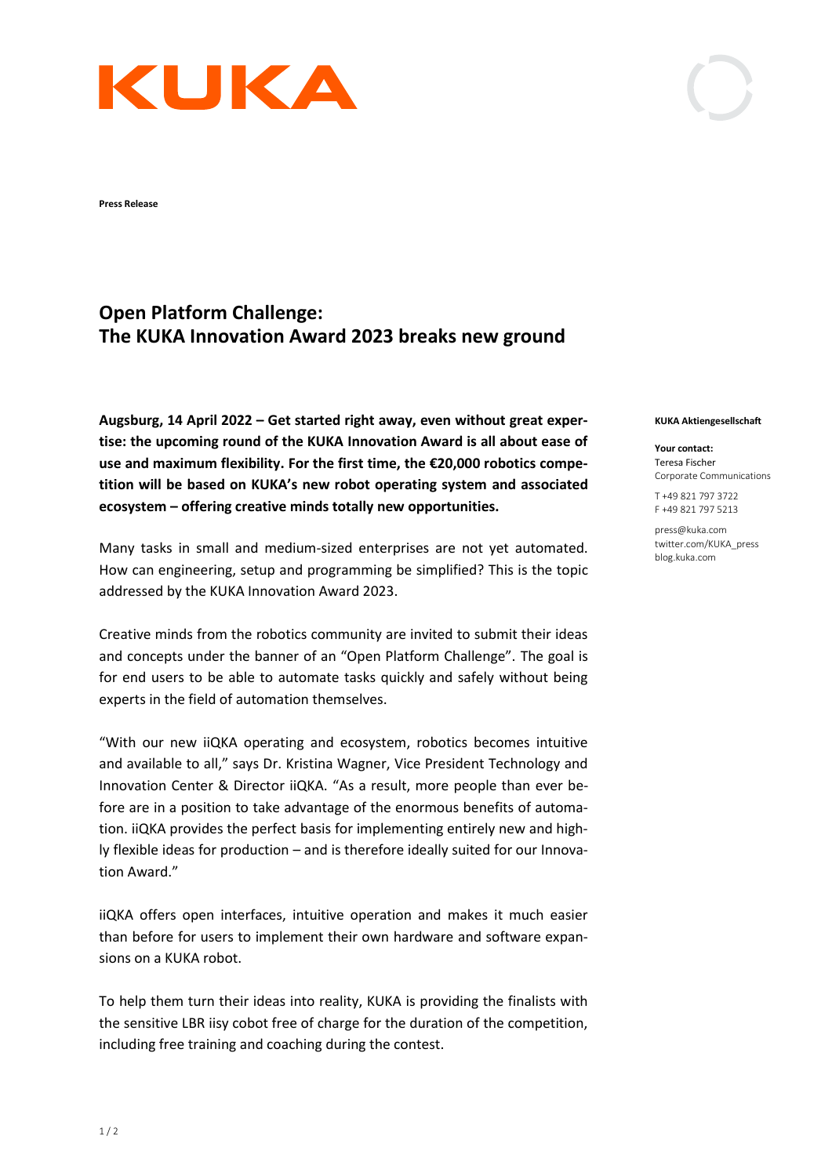## KUKA

**Press Release** 

## **Open Platform Challenge: The KUKA Innovation Award 2023 breaks new ground**

**Augsburg, 14 April 2022 – Get started right away, even without great expertise: the upcoming round of the KUKA Innovation Award is all about ease of use and maximum flexibility. For the first time, the €20,000 robotics competition will be based on KUKA's new robot operating system and associated ecosystem – offering creative minds totally new opportunities.** 

Many tasks in small and medium-sized enterprises are not yet automated. How can engineering, setup and programming be simplified? This is the topic addressed by the KUKA Innovation Award 2023.

Creative minds from the robotics community are invited to submit their ideas and concepts under the banner of an "Open Platform Challenge". The goal is for end users to be able to automate tasks quickly and safely without being experts in the field of automation themselves.

"With our new iiQKA operating and ecosystem, robotics becomes intuitive and available to all," says Dr. Kristina Wagner, Vice President Technology and Innovation Center & Director iiQKA. "As a result, more people than ever before are in a position to take advantage of the enormous benefits of automation. iiQKA provides the perfect basis for implementing entirely new and highly flexible ideas for production – and is therefore ideally suited for our Innovation Award."

iiQKA offers open interfaces, intuitive operation and makes it much easier than before for users to implement their own hardware and software expansions on a KUKA robot.

To help them turn their ideas into reality, KUKA is providing the finalists with the sensitive LBR iisy cobot free of charge for the duration of the competition, including free training and coaching during the contest.

## **KUKA Aktiengesellschaft**

**Your contact:** Teresa Fischer Corporate Communications

T +49 821 797 3722 F +49 821 797 5213

press@kuka.com twitter.com/KUKA\_press blog.kuka.com